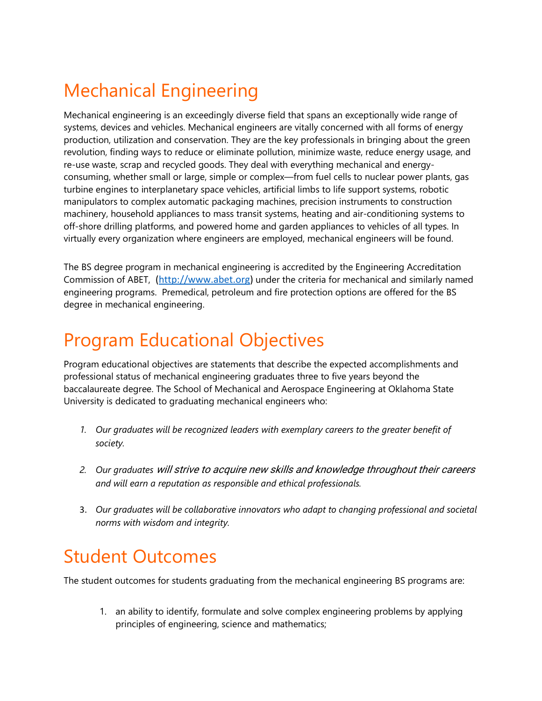## Mechanical Engineering

Mechanical engineering is an exceedingly diverse field that spans an exceptionally wide range of systems, devices and vehicles. Mechanical engineers are vitally concerned with all forms of energy production, utilization and conservation. They are the key professionals in bringing about the green revolution, finding ways to reduce or eliminate pollution, minimize waste, reduce energy usage, and re-use waste, scrap and recycled goods. They deal with everything mechanical and energyconsuming, whether small or large, simple or complex—from fuel cells to nuclear power plants, gas turbine engines to interplanetary space vehicles, artificial limbs to life support systems, robotic manipulators to complex automatic packaging machines, precision instruments to construction machinery, household appliances to mass transit systems, heating and air-conditioning systems to off-shore drilling platforms, and powered home and garden appliances to vehicles of all types. In virtually every organization where engineers are employed, mechanical engineers will be found.

The BS degree program in mechanical engineering is accredited by the Engineering Accreditation Commission of ABET, (http://www.abet.org) under the criteria for mechanical and similarly named engineering programs. Premedical, petroleum and fire protection options are offered for the BS degree in mechanical engineering.

## Program Educational Objectives

Program educational objectives are statements that describe the expected accomplishments and professional status of mechanical engineering graduates three to five years beyond the baccalaureate degree. The School of Mechanical and Aerospace Engineering at Oklahoma State University is dedicated to graduating mechanical engineers who:

- 1. Our graduates will be recognized leaders with exemplary careers to the greater benefit of society.
- 2. Our graduates will strive to acquire new skills and knowledge throughout their careers and will earn a reputation as responsible and ethical professionals.
- 3. Our graduates will be collaborative innovators who adapt to changing professional and societal norms with wisdom and integrity.

## Student Outcomes

The student outcomes for students graduating from the mechanical engineering BS programs are:

1. an ability to identify, formulate and solve complex engineering problems by applying principles of engineering, science and mathematics;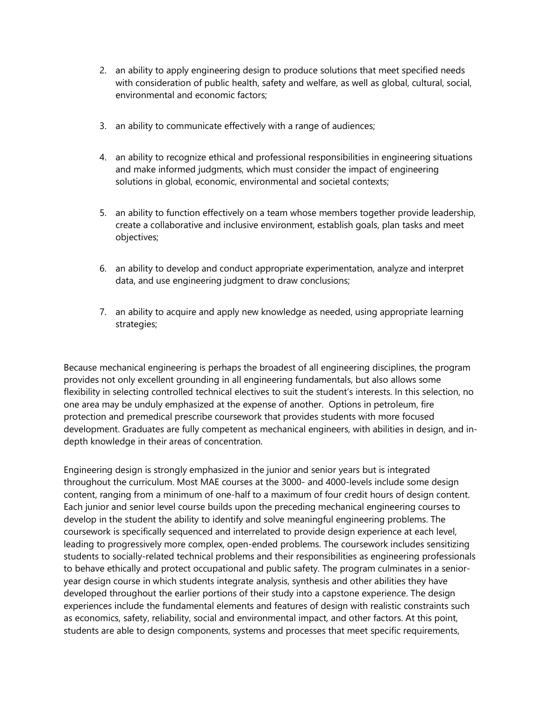- 2. an ability to apply engineering design to produce solutions that meet specified needs with consideration of public health, safety and welfare, as well as global, cultural, social, environmental and economic factors;
- 3. an ability to communicate effectively with a range of audiences;
- 4. an ability to recognize ethical and professional responsibilities in engineering situations and make informed judgments, which must consider the impact of engineering solutions in global, economic, environmental and societal contexts;
- 5. an ability to function effectively on a team whose members together provide leadership, create a collaborative and inclusive environment, establish goals, plan tasks and meet objectives;
- 6. an ability to develop and conduct appropriate experimentation, analyze and interpret data, and use engineering judgment to draw conclusions;
- 7. an ability to acquire and apply new knowledge as needed, using appropriate learning strategies;

Because mechanical engineering is perhaps the broadest of all engineering disciplines, the program provides not only excellent grounding in all engineering fundamentals, but also allows some flexibility in selecting controlled technical electives to suit the student's interests. In this selection, no one area may be unduly emphasized at the expense of another. Options in petroleum, fire protection and premedical prescribe coursework that provides students with more focused development. Graduates are fully competent as mechanical engineers, with abilities in design, and indepth knowledge in their areas of concentration.

Engineering design is strongly emphasized in the junior and senior years but is integrated throughout the curriculum. Most MAE courses at the 3000- and 4000-levels include some design content, ranging from a minimum of one-half to a maximum of four credit hours of design content. Each junior and senior level course builds upon the preceding mechanical engineering courses to develop in the student the ability to identify and solve meaningful engineering problems. The coursework is specifically sequenced and interrelated to provide design experience at each level, leading to progressively more complex, open-ended problems. The coursework includes sensitizing students to socially-related technical problems and their responsibilities as engineering professionals to behave ethically and protect occupational and public safety. The program culminates in a senioryear design course in which students integrate analysis, synthesis and other abilities they have developed throughout the earlier portions of their study into a capstone experience. The design experiences include the fundamental elements and features of design with realistic constraints such as economics, safety, reliability, social and environmental impact, and other factors. At this point, students are able to design components, systems and processes that meet specific requirements,